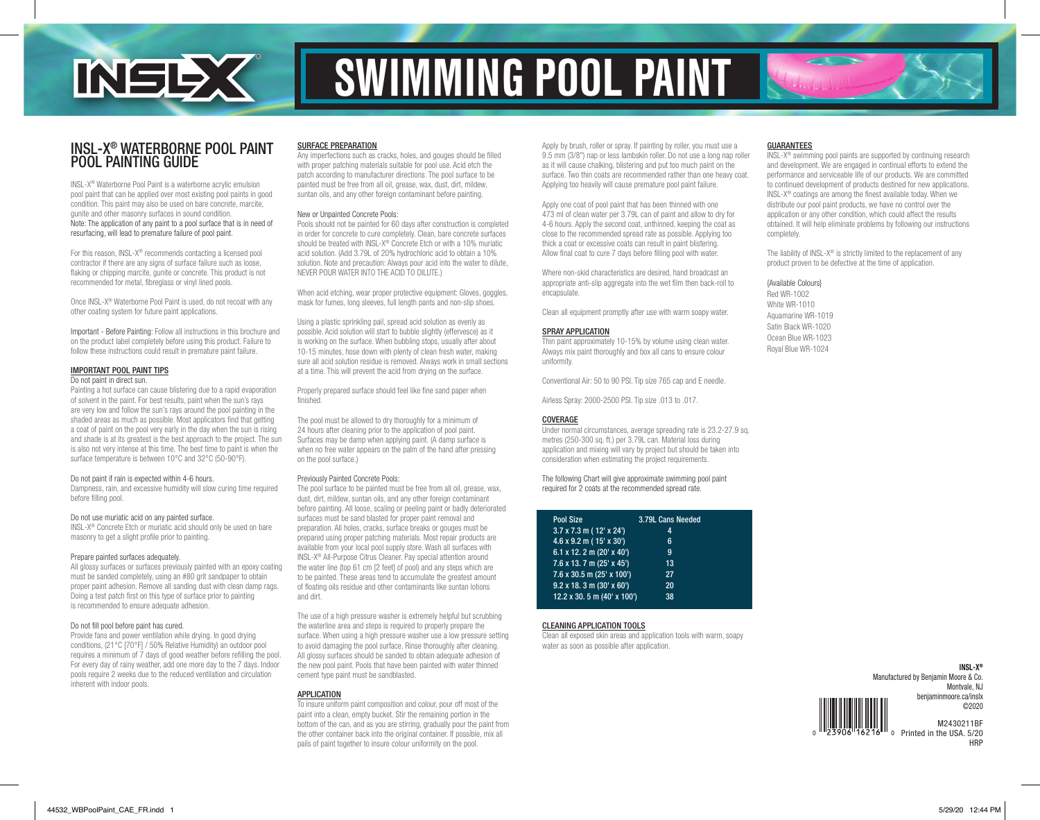

# SWIMMING POOL PAINT

### INSL-X® WATERBORNE POOL PAINT POOL PAINTING GUIDE

INSL-X® Waterborne Pool Paint is a waterborne acrylic emulsion pool paint that can be applied over most existing pool paints in good condition. This paint may also be used on bare concrete, marcite, gunite and other masonry surfaces in sound condition. Note: The application of any paint to a pool surface that is in need of resurfacing, will lead to premature failure of pool paint.

For this reason, INSL-X® recommends contacting a licensed pool contractor if there are any signs of surface failure such as loose. flaking or chipping marcite, gunite or concrete. This product is not recommended for metal, fibreglass or vinyl lined pools.

Once INSL-X® Waterborne Pool Paint is used, do not recoat with any other coating system for future paint applications.

Important - Before Painting: Follow all instructions in this brochure and on the product label completely before using this product. Failure to follow these instructions could result in premature paint failure.

### IMPORTANT POOL PAINT TIPS Do not paint in direct sun.

Painting a hot surface can cause blistering due to a rapid evaporation of solvent in the paint. For best results, paint when the sun's rays are very low and follow the sun's rays around the pool painting in the shaded areas as much as possible. Most applicators find that getting a coat of paint on the pool very early in the day when the sun is rising and shade is at its greatest is the best approach to the project. The sun is also not very intense at this time. The best time to paint is when the surface temperature is between 10°C and 32°C (50-90°F).

### Do not paint if rain is expected within 4-6 hours.

Dampness, rain, and excessive humidity will slow curing time required before filling pool.

### Do not use muriatic acid on any painted surface.

INSL-X® Concrete Etch or muriatic acid should only be used on bare masonry to get a slight profile prior to painting.

### Prepare painted surfaces adequately.

All glossy surfaces or surfaces previously painted with an epoxy coating must be sanded completely, using an #80 grit sandpaper to obtain proper paint adhesion. Remove all sanding dust with clean damp rags. Doing a test patch first on this type of surface prior to painting is recommended to ensure adequate adhesion.

### Do not fill pool before paint has cured.

Provide fans and power ventilation while drying. In good drying conditions, (21°C [70°F] / 50% Relative Humidity) an outdoor pool requires a minimum of 7 days of good weather before refilling the pool. For every day of rainy weather, add one more day to the 7 days. Indoor pools require 2 weeks due to the reduced ventilation and circulation inherent with indoor pools.

### SURFACE PREPARATION

Any imperfections such as cracks, holes, and gouges should be filled with proper patching materials suitable for pool use. Acid etch the patch according to manufacturer directions. The pool surface to be painted must be free from all oil, grease, wax, dust, dirt, mildew, suntan oils, and any other foreign contaminant before painting.

### New or Unpainted Concrete Pools:

Pools should not be painted for 60 days after construction is completed in order for concrete to cure completely. Clean, bare concrete surfaces should be treated with INSL-X® Concrete Etch or with a 10% muriatic acid solution. (Add 3.79L of 20% hydrochloric acid to obtain a 10% solution. Note and precaution: Always pour acid into the water to dilute, NEVER POUR WATER INTO THE ACID TO DILUTE.)

When acid etching, wear proper protective equipment: Gloves, goggles, mask for fumes, long sleeves, full length pants and non-slip shoes.

Using a plastic sprinkling pail, spread acid solution as evenly as possible. Acid solution will start to bubble slightly (effervesce) as it is working on the surface. When bubbling stops, usually after about 10-15 minutes, hose down with plenty of clean fresh water, making sure all acid solution residue is removed. Always work in small sections at a time. This will prevent the acid from drying on the surface.

Properly prepared surface should feel like fine sand paper when finished.

The pool must be allowed to dry thoroughly for a minimum of 24 hours after cleaning prior to the application of pool paint. Surfaces may be damp when applying paint. (A damp surface is when no free water appears on the palm of the hand after pressing on the pool surface.)

### Previously Painted Concrete Pools:

The pool surface to be painted must be free from all oil, grease, wax, dust, dirt, mildew, suntan oils, and any other foreign contaminant before painting. All loose, scaling or peeling paint or badly deteriorated surfaces must be sand blasted for proper paint removal and preparation. All holes, cracks, surface breaks or gouges must be prepared using proper patching materials. Most repair products are available from your local pool supply store. Wash all surfaces with INSL-X® All-Purpose Citrus Cleaner. Pay special attention around the water line (top 61 cm [2 feet] of pool) and any steps which are to be painted. These areas tend to accumulate the greatest amount of floating oils residue and other contaminants like suntan lotions and dirt.

The use of a high pressure washer is extremely helpful but scrubbing the waterline area and steps is required to properly prepare the surface. When using a high pressure washer use a low pressure setting to avoid damaging the pool surface. Rinse thoroughly after cleaning. All glossy surfaces should be sanded to obtain adequate adhesion of the new pool paint. Pools that have been painted with water thinned cement type paint must be sandblasted.

### APPLICATION

To insure uniform paint composition and colour, pour off most of the paint into a clean, empty bucket. Stir the remaining portion in the bottom of the can, and as you are stirring, gradually pour the paint from the other container back into the original container. If possible, mix all pails of paint together to insure colour uniformity on the pool.

Apply by brush, roller or spray. If painting by roller, you must use a 9.5 mm (3/8") nap or less lambskin roller. Do not use a long nap roller as it will cause chalking, blistering and put too much paint on the surface. Two thin coats are recommended rather than one heavy coat. Applying too heavily will cause premature pool paint failure.

Apply one coat of pool paint that has been thinned with one 473 ml of clean water per 3.79L can of paint and allow to dry for 4-6 hours. Apply the second coat, unthinned, keeping the coat as close to the recommended spread rate as possible. Applying too thick a coat or excessive coats can result in paint blistering. Allow final coat to cure 7 days before filling pool with water.

Where non-skid characteristics are desired, hand broadcast an appropriate anti-slip aggregate into the wet film then back-roll to encapsulate.

Clean all equipment promptly after use with warm soapy water.

### SPRAY APPLICATION

Thin paint approximately 10-15% by volume using clean water. Always mix paint thoroughly and box all cans to ensure colour uniformity.

Conventional Air: 50 to 90 PSI. Tip size 765 cap and E needle.

Airless Spray: 2000-2500 PSI. Tip size .013 to .017.

### COVERAGE

Under normal circumstances, average spreading rate is 23.2-27.9 sq. metres (250-300 sq. ft.) per 3.79L can. Material loss during application and mixing will vary by project but should be taken into consideration when estimating the project requirements.

The following Chart will give approximate swimming pool paint required for 2 coats at the recommended spread rate.

| 3.79L Cans Needed                 |
|-----------------------------------|
| 4                                 |
| 6                                 |
| g                                 |
| 13                                |
| 27                                |
| 20                                |
| 12.2 x 30. 5 m (40' x 100')<br>38 |
|                                   |

### CLEANING APPLICATION TOOLS

Clean all exposed skin areas and application tools with warm, soapy water as soon as possible after application.

### GUARANTEES

INSL-X® swimming pool paints are supported by continuing research and development. We are engaged in continual efforts to extend the performance and serviceable life of our products. We are committed to continued development of products destined for new applications. INSL-X® coatings are among the finest available today. When we distribute our pool paint products, we have no control over the application or any other condition, which could affect the results obtained. It will help eliminate problems by following our instructions completely.

The liability of INSL-X<sup>®</sup> is strictly limited to the replacement of any product proven to be defective at the time of application.

### {Available Colours}

Red WR-1002 White WR-1010 Aquamarine WR-1019 Satin Black WR-1020 Ocean Blue WR-1023 Royal Blue WR-1024

> **INSL-X®** Manufactured by Benjamin Moore & Co. Montvale, NJ benjaminmoore.ca/inslx ©2020 M2430211BF

Printed in the USA. 5/20 **HRP**